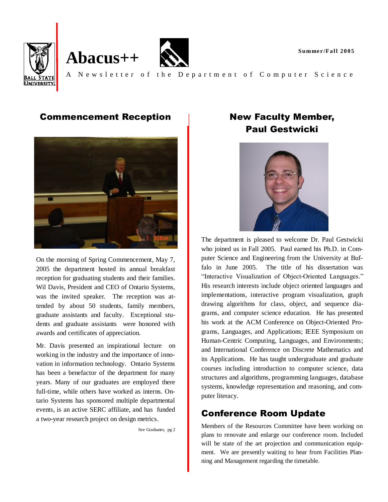

#### Commencement Reception



On the morning of Spring Commencement, May 7, 2005 the department hosted its annual breakfast reception for graduating students and their families. Wil Davis, President and CEO of Ontario Systems, was the invited speaker. The reception was attended by about 50 students, family members, graduate assistants and faculty. Exceptional students and graduate assistants were honored with awards and certificates of appreciation.

Mr. Davis presented an inspirational lecture on working in the industry and the importance of innovation in information technology. Ontario Systems has been a benefactor of the department for many years. Many of our graduates are employed there full-time, while others have worked as interns. Ontario Systems has sponsored multiple departmental events, is an active SERC affiliate, and has funded a two-year research project on design metrics.

See Graduates, pg 2

# New Faculty Member, Paul Gestwicki



The department is pleased to welcome Dr. Paul Gestwicki who joined us in Fall 2005. Paul earned his Ph.D. in Computer Science and Engineering from the University at Buffalo in June 2005. The title of his dissertation was "Interactive Visualization of Object-Oriented Languages." His research interests include object oriented languages and implementations, interactive program visualization, graph drawing algorithms for class, object, and sequence diagrams, and computer science education. He has presented his work at the ACM Conference on Object-Oriented Programs, Languages, and Applications; IEEE Symposium on Human-Centric Computing, Languages, and Environments; and International Conference on Discrete Mathematics and its Applications. He has taught undergraduate and graduate courses including introduction to computer science, data structures and algorithms, programming languages, database systems, knowledge representation and reasoning, and computer literacy.

### Conference Room Update

Members of the Resources Committee have been working on plans to renovate and enlarge our conference room. Included will be state of the art projection and communication equipment. We are presently waiting to hear from Facilities Planning and Management regarding the timetable.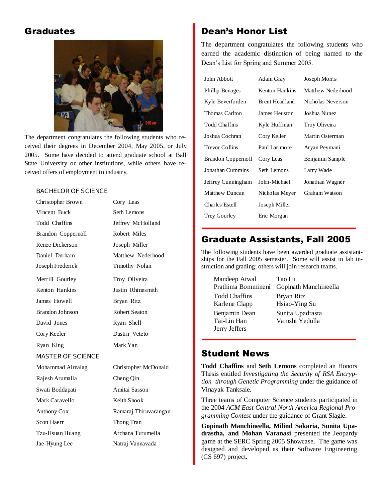#### **Graduates**



The department congratulates the following students who received their degrees in December 2004, May 2005, or July 2005. Some have decided to attend graduate school at Ball State University or other institutions, while others have received offers of employment in industry.

#### BACHELOR OF SCIENCE

| Christopher Brown        | Cory Leas             |
|--------------------------|-----------------------|
| Vincent Buck             | Seth Lemons           |
| Todd Chaffins            | Jeffrey McHolland     |
| Brandon Coppernoll       | Robert Miles          |
| Renee Dickerson          | Joseph Miller         |
| Daniel Durham            | Matthew Nederhood     |
| Joseph Frederick         | Timothy Nolan         |
| Merrill Gourley          | Troy Oliveira         |
| Kenton Hankins           | Justin Rhinesmith     |
| James Howell             | Bryan Ritz            |
| Brandon Johnson          | <b>Robert Seaton</b>  |
| David Jones              | Ryan Shell            |
| Cory Keeler              | Dustin Veteto         |
| Ryan King                | Mark Yan              |
| <b>MASTER OF SCIENCE</b> |                       |
| Mohammad Almalag         | Christopher McDonald  |
| Rajesh Arumalla          | Cheng Qin             |
| Swati Boddapati          | Amitai Sasson         |
| Mark Caravello           | Keith Shook           |
| Anthony Cox              | Ramaraj Thiruvarangan |
| <b>Scott Haerr</b>       | Thong Tran            |
| Tzu-Hsuan Huang          | Archana Turumella     |
| Jae-Hyung Lee            | Natraj Vannavada      |
|                          |                       |

# Dean's Honor List

The department congratulates the following students who earned the academic distinction of being named to the Dean's List for Spring and Summer 2005.

| John Abbott           | Adam Gray             | Joseph Morris     |
|-----------------------|-----------------------|-------------------|
| Phillip Benages       | Kenton Hankins        | Matthew Nederhood |
| Kyle Beverforden      | <b>Brent Headland</b> | Nicholas Neverson |
| Thomas Carlton        | James Heuston         | Joshua Nunez      |
| <b>Todd Chaffins</b>  | Kyle Huffman          | Troy Oliveira     |
| Joshua Cochran        | Cory Keller           | Martin Osterman   |
| <b>Trevor Collins</b> | Paul Larimore         | Aryan Peymani     |
| Brandon Coppernoll    | Cory Leas             | Benjamin Sample   |
| Jonathan Cummins      | Seth Lemons           | Larry Wade        |
| Jeffrey Cunningham    | John-Michael          | Jonathan Wagner   |
| Matthew Duncan        | Nicholas Meyer        | Graham Watson     |
| Charles Estell        | Joseph Miller         |                   |
| Trey Gourley          | Eric Morgan           |                   |

### Graduate Assistants, Fall 2005

The following students have been awarded graduate assistantships for the Fall 2005 semester. Some will assist in lab instruction and grading; others will join research teams.

| Mandeep Atwal        | Tao Lu                |
|----------------------|-----------------------|
| Prathima Bommineni   | Gopinath Manchineella |
| <b>Todd Chaffins</b> | Bryan Ritz            |
| Karlene Clapp        | Hsiao-Ying Su         |
| Benjamin Dean        | Sunita Upadrasta      |
| Tai-Lin Han          | Vamshi Yedulla        |
| Jerry Jeffers        |                       |

## Student News

**Todd Chaffins** and **Seth Lemons** completed an Honors Thesis entitled *Investigating the Security of RSA Encryption through Genetic Programming* under the guidance of Vinayak Tanksale.

Three teams of Computer Science students participated in the 2004 *ACM East Central North America Regional Programming Contest* under the guidance of Grant Slagle.

**Gopinath Manchineella, Milind Sakaria, Sunita Upadrastha, and Mohan Varanasi** presented the Jeopardy game at the SERC Spring 2005 Showcase. The game was designed and developed as their Software Engineering (CS 697) project.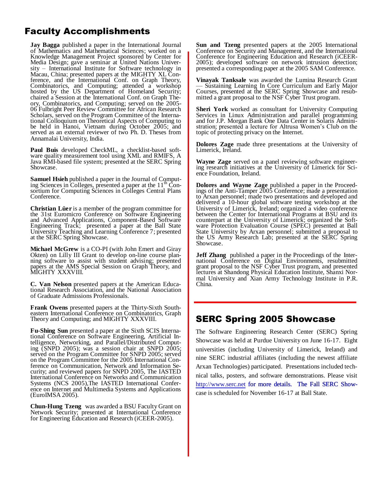# Faculty Accomplishments

**Jay Bagga** published a paper in the International Journal of Mathematics and Mathematical Sciences; worked on a Knowledge Management Project sponsored by Center for Media Design; gave a seminar at United Nations University – International Institute for Software technology in Macau, China; presented papers at the MIGHTY XL Conference, and the International Conf. on Graph Theory, Combinatorics, and Computing; attended a workshop hosted by the US Department of Homeland Security; chaired a Session at the International Conf. on Graph Theory, Combinatorics, and Computing; served on the 2005- 06 Fulbright Peer Review Committee for African Research Scholars, served on the Program Committee of the International Colloquium on Theoretical Aspects of Computing to be held in Hanoi, Vietnam during October 2005; and served as an external reviewer of two Ph. D. Theses from Annamalai University, India.

**Paul Buis** developed CheckML, a checklist-based software quality measurement tool using XML and RMIFS, A Java RMI-based file system; presented at the SERC Spring Showcase.

**Samuel Hsieh** published a paper in the Journal of Computing Sciences in Colleges, presented a paper at the  $11<sup>th</sup>$  Consortium for Computing Sciences in Colleges Central Plans Conference.

**Christian Lüer** is a member of the program committee for the 31st Euromicro Conference on Software Engineering and Advanced Applications, Component-Based Software Engineering Track; presented a paper at the Ball State University Teaching and Learning Conference 7; presented at the SERC Spring Showcase.

**Michael McGrew** is a CO-PI (with John Emert and Giray Okten) on Lilly III Grant to develop on-line course planning software to assist with student advising; presented papers at the AMS Special Session on Graph Theory, and MIGHTY XXXVIII.

**C. Van Nelson** presented papers at the American Educational Research Association, and the National Association of Graduate Admissions Professionals.

**Frank Owens** presented papers at the Thirty-Sixth Southeastern International Conference on Combinatorics, Graph Theory and Computing; and MIGHTY XXXVIII.

**Fu-Shing Sun** presented a paper at the Sixth SCIS International Conference on Software Engineering, Artificial Intelligence, Networking, and Parallel/Distributed Computing (SNPD 2005); was a session chair at SNPD 2005; served on the Program Committee for SNPD 2005; served on the Program Committee for the 2005 International Conference on Communication, Network and Information Security; and reviewed papers for SNPD 2005, The IASTED International Conference on Networks and Communication Systems (NCS 2005),The IASTED International Conference on Internet and Multimedia Systems and Applications (EuroIMSA 2005).

**Chun-Hung Tzeng** was awarded a BSU Faculty Grant on Network Security; presented at International Conference for Engineering Education and Research (iCEER-2005).

**Sun and Tzeng** presented papers at the 2005 International Conference on Security and Management, and the International Conference for Engineering Education and Research (iCEER-2005); developed software on network intrusion detection; presented a corresponding paper at the 2005 SAM Conference.

**Vinayak Tanksale** was awarded the Lumina Research Grant — Sustaining Learning In Core Curriculum and Early Major Courses, presented at the SERC Spring Showcase and resubmitted a grant proposal to the NSF Cyber Trust program.

**Sheri York** worked as consultant for University Computing Services in Linux Administration and parallel programming and for J.P. Morgan Bank One Data Center in Solaris Administration; presented a lecture for Altrusa Women's Club on the topic of protecting privacy on the Internet.

**Dolores Zage** made three presentations at the University of Limerick, Ireland.

**Wayne Zage** served on a panel reviewing software engineering research initiatives at the University of Limerick for Science Foundation, Ireland.

**Dolores and Wayne Zage** published a paper in the Proceedings of the Anti-Tamper 2005 Conference; made a presentation to Arxan personnel; made two presentations and developed and delivered a 10-hour global software testing workshop at the University of Limerick, Ireland; organized a video conference between the Center for International Programs at BSU and its counterpart at the University of Limerick; organized the Software Protection Evaluation Course (SPEC) presented at Ball State University by Arxan personnel; submitted a proposal to the US Army Research Lab; presented at the SERC Spring Showcase.

**Jeff Zhang** published a paper in the Proceedings of the International Conference on Digital Environments, resubmitted grant proposal to the NSF Cyber Trust program, and presented lectures at Shandong Physical Education Institute, Shanxi Normal University and Xian Army Technology Institute in P.R. China.

#### SERC Spring 2005 Showcase

The Software Engineering Research Center (SERC) Spring Showcase was held at Purdue University on June 16-17. Eight universities (including University of Limerick, Ireland) and nine SERC industrial affiliates (including the newest affiliate Arxan Technologies) participated. Presentations included technical talks, posters, and software demonstrations. Please visit <http://www.serc.net> for more details. The Fall SERC Showcase is scheduled for November 16-17 at Ball State.